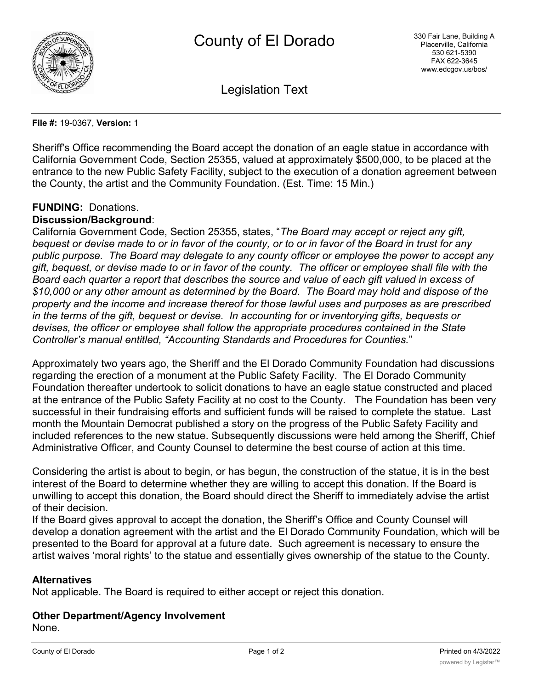

Legislation Text

**File #:** 19-0367, **Version:** 1

Sheriff's Office recommending the Board accept the donation of an eagle statue in accordance with California Government Code, Section 25355, valued at approximately \$500,000, to be placed at the entrance to the new Public Safety Facility, subject to the execution of a donation agreement between the County, the artist and the Community Foundation. (Est. Time: 15 Min.)

## **FUNDING:** Donations.

### **Discussion/Background**:

California Government Code, Section 25355, states, "*The Board may accept or reject any gift, bequest or devise made to or in favor of the county, or to or in favor of the Board in trust for any public purpose. The Board may delegate to any county officer or employee the power to accept any gift, bequest, or devise made to or in favor of the county. The officer or employee shall file with the Board each quarter a report that describes the source and value of each gift valued in excess of \$10,000 or any other amount as determined by the Board. The Board may hold and dispose of the property and the income and increase thereof for those lawful uses and purposes as are prescribed in the terms of the gift, bequest or devise. In accounting for or inventorying gifts, bequests or devises, the officer or employee shall follow the appropriate procedures contained in the State Controller's manual entitled, "Accounting Standards and Procedures for Counties.*"

Approximately two years ago, the Sheriff and the El Dorado Community Foundation had discussions regarding the erection of a monument at the Public Safety Facility. The El Dorado Community Foundation thereafter undertook to solicit donations to have an eagle statue constructed and placed at the entrance of the Public Safety Facility at no cost to the County. The Foundation has been very successful in their fundraising efforts and sufficient funds will be raised to complete the statue. Last month the Mountain Democrat published a story on the progress of the Public Safety Facility and included references to the new statue. Subsequently discussions were held among the Sheriff, Chief Administrative Officer, and County Counsel to determine the best course of action at this time.

Considering the artist is about to begin, or has begun, the construction of the statue, it is in the best interest of the Board to determine whether they are willing to accept this donation. If the Board is unwilling to accept this donation, the Board should direct the Sheriff to immediately advise the artist of their decision.

If the Board gives approval to accept the donation, the Sheriff's Office and County Counsel will develop a donation agreement with the artist and the El Dorado Community Foundation, which will be presented to the Board for approval at a future date. Such agreement is necessary to ensure the artist waives 'moral rights' to the statue and essentially gives ownership of the statue to the County.

### **Alternatives**

Not applicable. The Board is required to either accept or reject this donation.

# **Other Department/Agency Involvement**

None.